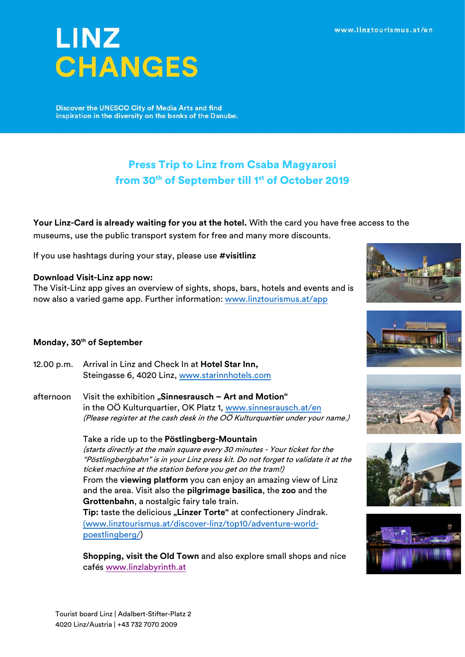# **LINZ CHANGES**

**Discover the UNESCO City of Media Arts and find** inspiration in the diversity on the banks of the Danube.

# Press Trip to Linz from Csaba Magyarosi from 30<sup>th</sup> of September till 1<sup>st</sup> of October 2019

**Your Linz-Card is already waiting for you at the hotel.** With the card you have free access to the museums, use the public transport system for free and many more discounts.

If you use hashtags during your stay, please use **#visitlinz** 

## **Download Visit-Linz app now:**

The Visit-Linz app gives an overview of sights, shops, bars, hotels and events and is now also a varied game app. Further information: [www.linztourismus.at/app](http://www.linztourismus.at/app)

# **Monday, 30th of September**

- 12.00 p.m. Arrival in Linz and Check In at **Hotel Star Inn,** Steingasse 6, 4020 Linz, [www.starinnhotels.com](http://www.starinnhotels.com/)
- afternoon Visit the exhibition "Sinnesrausch Art and Motion" in the OÖ Kulturquartier, OK Platz 1, [www.sinnesrausch.at/en](http://www.sinnesrausch.at/en) (Please register at the cash desk in the OÖ Kulturquartier under your name.)

#### Take a ride up to the **Pöstlingberg-Mountain**

(starts directly at the main square every 30 minutes - Your ticket for the "Pöstlingbergbahn" is in your Linz press kit. Do not forget to validate it at the ticket machine at the station before you get on the tram!) From the **viewing platform** you can enjoy an amazing view of Linz and the area. Visit also the **pilgrimage basilica**, the **zoo** and the **Grottenbahn**, a nostalgic fairy tale train.

**Tip:** taste the delicious **"Linzer Torte"** at confectionery Jindrak. ([www.linztourismus.at/discover-linz/top10/adventure-world](http://www.linztourismus.at/discover-linz/top10/adventure-world-poestlingberg/)[poestlingberg/\)](http://www.linztourismus.at/discover-linz/top10/adventure-world-poestlingberg/)

**Shopping, visit the Old Town** and also explore small shops and nice cafés [www.linzlabyrinth.at](http://www.linzlabyrinth.at/)